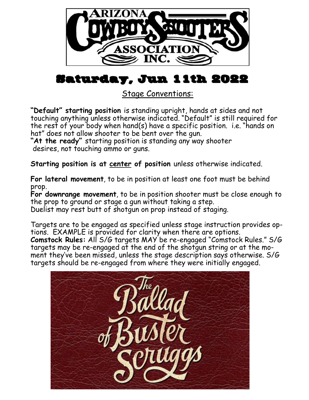

## Saturday, Jun 11th 2022

Stage Conventions:

**"Default" starting position** is standing upright, hands at sides and not touching anything unless otherwise indicated. "Default" is still required for the rest of your body when hand(s) have a specific position. i.e. "hands on hat" does not allow shooter to be bent over the gun.

**"At the ready"** starting position is standing any way shooter desires, not touching ammo or guns.

**Starting position is at center of position** unless otherwise indicated.

**For lateral movement**, to be in position at least one foot must be behind prop.

**For downrange movement**, to be in position shooter must be close enough to the prop to ground or stage a gun without taking a step.

Duelist may rest butt of shotgun on prop instead of staging.

Targets are to be engaged as specified unless stage instruction provides options. EXAMPLE is provided for clarity when there are options. **Comstock Rules:** All S/G targets MAY be re-engaged "Comstock Rules." S/G targets may be re-engaged at the end of the shotgun string or at the moment they've been missed, unless the stage description says otherwise. S/G targets should be re-engaged from where they were initially engaged.

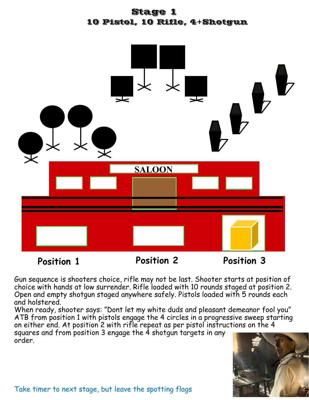



Gun sequence is shooters choice, rifle may not be last. Shooter starts at position of choice with hands at low surrender. Rifle loaded with 10 rounds staged at position 2. Open and empty shotgun staged anywhere safely. Pistols loaded with 5 rounds each and holstered.

When ready, shooter says: "Dont let my white duds and pleasant demeanor fool you" ATB from position 1 with pistols engage the 4 circles in a progressive sweep starting on either end. At position 2 with rifle repeat as per pistol instructions on the 4

squares and from position 3 engage the 4 shotgun targets in any order.

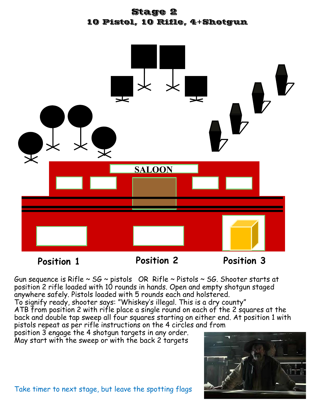



**Position 1 Position 2 Position 3**

Gun sequence is Rifle  $\sim$  SG  $\sim$  pistols OR Rifle  $\sim$  Pistols  $\sim$  SG. Shooter starts at position 2 rifle loaded with 10 rounds in hands. Open and empty shotgun staged anywhere safely. Pistols loaded with 5 rounds each and holstered.

To signify ready, shooter says: "Whiskey's illegal. This is a dry county" ATB from position 2 with rifle place a single round on each of the 2 squares at the back and double tap sweep all four squares starting on either end. At position 1 with pistols repeat as per rifle instructions on the 4 circles and from

position 3 engage the 4 shotgun targets in any order. May start with the sweep or with the back 2 targets



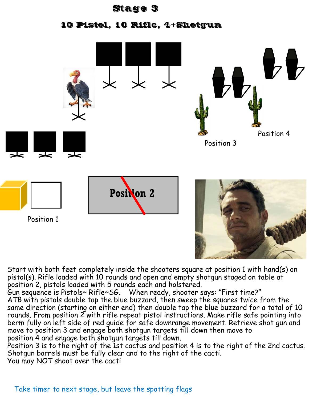## Stage 3

10 Pistol, 10 Rifle, 4+Shotgun



Start with both feet completely inside the shooters square at position 1 with hand(s) on pistol(s). Rifle loaded with 10 rounds and open and empty shotgun staged on table at position 2, pistols loaded with 5 rounds each and holstered.

Gun sequence is Pistols~ Rifle~SG. When ready, shooter says: "First time?" ATB with pistols double tap the blue buzzard, then sweep the squares twice from the same direction (starting on either end) then double tap the blue buzzard for a total of 10 rounds. From position 2 with rifle repeat pistol instructions. Make rifle safe pointing into berm fully on left side of red guide for safe downrange movement. Retrieve shot gun and move to position 3 and engage both shotgun targets till down then move to position 4 and engage both shotgun targets till down.

Position 3 is to the right of the 1st cactus and position 4 is to the right of the 2nd cactus. Shotgun barrels must be fully clear and to the right of the cacti.

You may NOT shoot over the cacti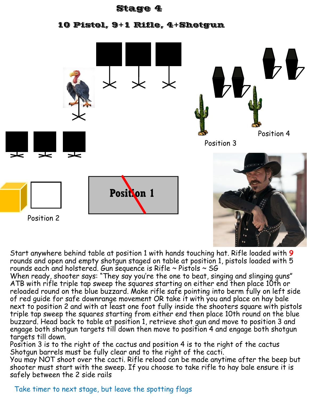## Stage 4

10 Pistol, 9+1 Rifle, 4+Shotgun



Start anywhere behind table at position 1 with hands touching hat. Rifle loaded with **9** rounds and open and empty shotgun staged on table at position 1, pistols loaded with 5 rounds each and holstered. Gun sequence is Rifle  $\sim$  Pistols  $\sim$  SG

When ready, shooter says: "They say you're the one to beat, singing and slinging guns" ATB with rifle triple tap sweep the squares starting on either end then place 10th or reloaded round on the blue buzzard. Make rifle safe pointing into berm fully on left side of red guide for safe downrange movement OR take it with you and place on hay bale next to position 2 and with at least one foot fully inside the shooters square with pistols triple tap sweep the squares starting from either end then place 10th round on the blue buzzard. Head back to table at position 1, retrieve shot qun and move to position 3 and engage both shotgun targets till down then move to position 4 and engage both shotgun targets till down.

Position 3 is to the right of the cactus and position 4 is to the right of the cactus Shotgun barrels must be fully clear and to the right of the cacti.

You may NOT shoot over the cacti. Rifle reload can be made anytime after the beep but shooter must start with the sweep. If you choose to take rifle to hay bale ensure it is safely between the 2 side rails

## Take timer to next stage, but leave the spotting flags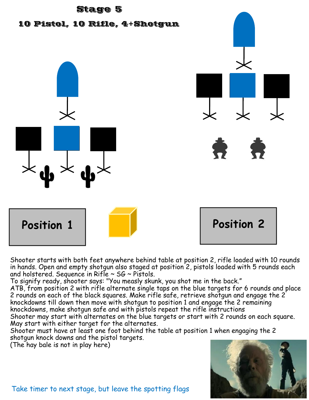

Shooter starts with both feet anywhere behind table at position 2, rifle loaded with 10 rounds in hands. Open and empty shotgun also staged at position 2, pistols loaded with 5 rounds each and holstered. Sequence in Rifle  $\sim$  SG  $\sim$  Pistols.

To signify ready, shooter says: "You measly skunk, you shot me in the back." ATB, from position 2 with rifle alternate single taps on the blue targets for 6 rounds and place 2 rounds on each of the black squares. Make rifle safe, retrieve shotgun and engage the 2 knockdowns till down then move with shotgun to position 1 and engage the 2 remaining knockdowns, make shotgun safe and with pistols repeat the rifle instructions

Shooter may start with alternates on the blue targets or start with 2 rounds on each square. May start with either target for the alternates.

Shooter must have at least one foot behind the table at position 1 when engaging the 2 shotgun knock downs and the pistol targets.

(The hay bale is not in play here)



Take timer to next stage, but leave the spotting flags